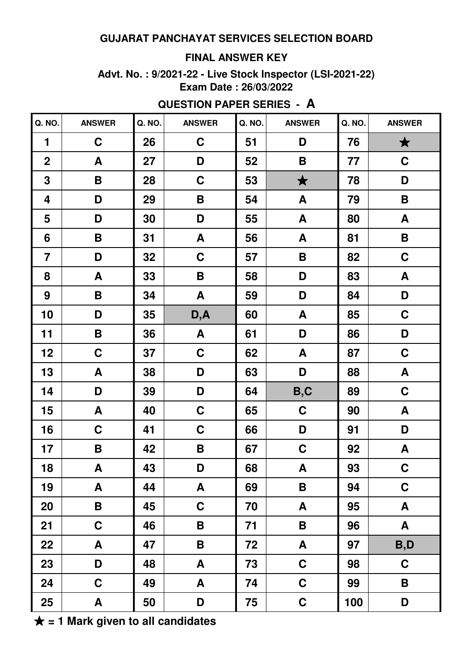### **FINAL ANSWER KEY**

**Advt. No. : 9/2021-22 - Live Stock Inspector (LSI-2021-22) Exam Date : 26/03/2022**

| Q. NO.           | <b>ANSWER</b>             | Q. NO. | <b>ANSWER</b>      | Q. NO. | <b>ANSWER</b>    | Q. NO. | <b>ANSWER</b>      |
|------------------|---------------------------|--------|--------------------|--------|------------------|--------|--------------------|
| 1                | $\mathbf C$               | 26     | $\mathbf C$        | 51     | D                | 76     | $\bigstar$         |
| $\overline{2}$   | A                         | 27     | D                  | 52     | B                | 77     | $\mathbf C$        |
| $\mathbf 3$      | B                         | 28     | $\mathbf C$        | 53     | $\bigstar$       | 78     | D                  |
| 4                | D                         | 29     | $\pmb{\mathsf{B}}$ | 54     | A                | 79     | B                  |
| 5                | D                         | 30     | D                  | 55     | A                | 80     | A                  |
| 6                | B                         | 31     | A                  | 56     | A                | 81     | B                  |
| $\overline{7}$   | D                         | 32     | $\mathbf C$        | 57     | $\mathsf B$      | 82     | $\mathbf C$        |
| 8                | A                         | 33     | $\pmb{\mathsf{B}}$ | 58     | D                | 83     | $\boldsymbol{A}$   |
| $\boldsymbol{9}$ | B                         | 34     | A                  | 59     | D                | 84     | D                  |
| 10               | D                         | 35     | D, A               | 60     | A                | 85     | $\mathbf C$        |
| 11               | B                         | 36     | A                  | 61     | D                | 86     | D                  |
| 12               | $\mathbf C$               | 37     | $\mathbf C$        | 62     | A                | 87     | $\mathbf C$        |
| 13               | A                         | 38     | D                  | 63     | D                | 88     | A                  |
| 14               | D                         | 39     | D                  | 64     | B,C              | 89     | $\mathbf C$        |
| 15               | $\boldsymbol{\mathsf{A}}$ | 40     | $\mathbf C$        | 65     | $\mathbf C$      | 90     | $\pmb{\mathsf{A}}$ |
| 16               | $\mathbf C$               | 41     | $\mathbf C$        | 66     | D                | 91     | D                  |
| 17               | B                         | 42     | $\pmb{\mathsf{B}}$ | 67     | $\mathbf C$      | 92     | A                  |
| 18               | $\boldsymbol{A}$          | 43     | D                  | 68     | $\boldsymbol{A}$ | 93     | $\mathbf C$        |
| 19               | A                         | 44     | $\mathbf{A}$       | 69     | B                | 94     | $\mathbf C$        |
| 20               | B                         | 45     | $\mathbf C$        | 70     | A                | 95     | A                  |
| 21               | $\mathbf C$               | 46     | B                  | 71     | B                | 96     | $\boldsymbol{A}$   |
| 22               | A                         | 47     | B                  | 72     | A                | 97     | B,D                |
| 23               | D                         | 48     | A                  | 73     | $\mathbf C$      | 98     | $\mathbf C$        |
| 24               | $\mathbf C$               | 49     | A                  | 74     | $\mathbf C$      | 99     | B                  |
| 25               | A                         | 50     | D                  | 75     | $\mathbf C$      | 100    | D                  |

#### **QUESTION PAPER SERIES - A**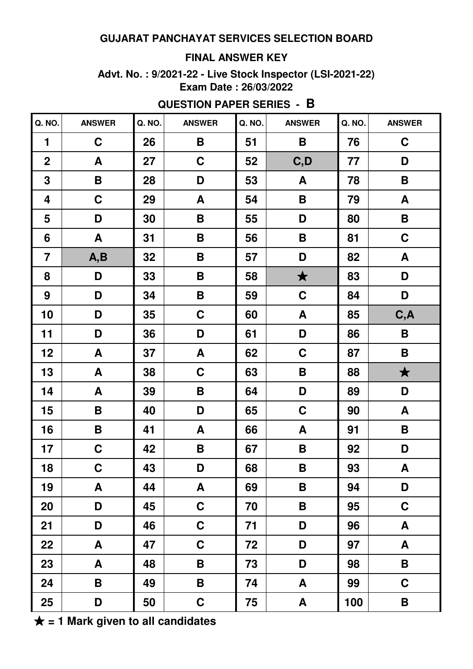### **FINAL ANSWER KEY**

**Advt. No. : 9/2021-22 - Live Stock Inspector (LSI-2021-22) Exam Date : 26/03/2022**

| Q. NO.                  | <b>ANSWER</b>      | Q. NO. | <b>ANSWER</b>             | Q. NO. | <b>ANSWER</b>      | Q. NO. | <b>ANSWER</b>             |
|-------------------------|--------------------|--------|---------------------------|--------|--------------------|--------|---------------------------|
| $\mathbf{1}$            | $\mathbf C$        | 26     | B                         | 51     | B                  | 76     | $\mathbf C$               |
| $\overline{2}$          | A                  | 27     | $\mathbf C$               | 52     | C, D               | 77     | D                         |
| $\mathbf 3$             | $\pmb{\mathsf{B}}$ | 28     | D                         | 53     | A                  | 78     | B                         |
| $\overline{\mathbf{4}}$ | $\mathbf C$        | 29     | A                         | 54     | B                  | 79     | $\boldsymbol{A}$          |
| 5                       | D                  | 30     | $\pmb{\mathsf{B}}$        | 55     | D                  | 80     | $\pmb{\mathsf{B}}$        |
| 6                       | A                  | 31     | $\pmb{\mathsf{B}}$        | 56     | $\mathsf B$        | 81     | $\mathbf C$               |
| $\overline{7}$          | A,B                | 32     | $\pmb{\mathsf{B}}$        | 57     | D                  | 82     | ${\bf A}$                 |
| 8                       | D                  | 33     | $\pmb{\mathsf{B}}$        | 58     | $\bigstar$         | 83     | D                         |
| $\boldsymbol{9}$        | D                  | 34     | $\pmb{\mathsf{B}}$        | 59     | $\mathbf C$        | 84     | D                         |
| 10                      | D                  | 35     | $\mathbf C$               | 60     | A                  | 85     | C, A                      |
| 11                      | D                  | 36     | D                         | 61     | D                  | 86     | $\pmb{\mathsf{B}}$        |
| 12                      | $\pmb{\mathsf{A}}$ | 37     | $\boldsymbol{\mathsf{A}}$ | 62     | $\mathbf C$        | 87     | $\mathsf B$               |
| 13                      | A                  | 38     | $\mathbf C$               | 63     | $\pmb{\mathsf{B}}$ | 88     | $\bigstar$                |
| 14                      | A                  | 39     | $\pmb{\mathsf{B}}$        | 64     | D                  | 89     | D                         |
| 15                      | $\pmb{\mathsf{B}}$ | 40     | D                         | 65     | $\mathbf C$        | 90     | $\boldsymbol{\mathsf{A}}$ |
| 16                      | B                  | 41     | $\pmb{\mathsf{A}}$        | 66     | $\boldsymbol{A}$   | 91     | B                         |
| 17                      | $\mathbf C$        | 42     | $\pmb{\mathsf{B}}$        | 67     | $\mathsf B$        | 92     | D                         |
| 18                      | $\mathbf C$        | 43     | D                         | 68     | B                  | 93     | A                         |
| 19                      | A                  | 44     | $\pmb{\mathsf{A}}$        | 69     | B                  | 94     | D                         |
| 20                      | D                  | 45     | $\mathbf C$               | 70     | B                  | 95     | $\mathbf C$               |
| 21                      | D                  | 46     | $\mathbf C$               | 71     | D                  | 96     | A                         |
| 22                      | A                  | 47     | $\mathbf C$               | 72     | D                  | 97     | A                         |
| 23                      | A                  | 48     | B                         | 73     | D                  | 98     | B                         |
| 24                      | B                  | 49     | B                         | 74     | A                  | 99     | $\mathbf C$               |
| 25                      | D                  | 50     | $\mathbf C$               | 75     | A                  | 100    | B                         |

**QUESTION PAPER SERIES - B**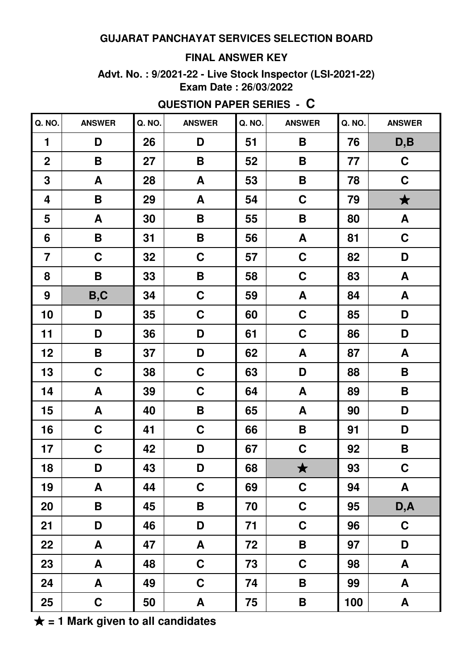### **FINAL ANSWER KEY**

**Advt. No. : 9/2021-22 - Live Stock Inspector (LSI-2021-22) Exam Date : 26/03/2022**

| Q. NO.<br>Q. NO.<br>Q. NO.<br><b>ANSWER</b><br>Q. NO.<br><b>ANSWER</b><br><b>ANSWER</b><br>26<br>$\mathbf{1}$<br>D<br>B<br>76<br>D<br>51<br>$\overline{2}$<br>27<br>$\pmb{\mathsf{B}}$<br>B<br>B<br>52<br>77<br>3<br>28<br>B<br>A<br>53<br>78<br>A<br>$\mathbf C$<br>29<br>79<br>$\overline{\mathbf{4}}$<br>B<br>A<br>54<br>5<br>30<br>$\pmb{\mathsf{B}}$<br>$\mathsf B$<br>A<br>55<br>80<br>31<br>$\pmb{\mathsf{B}}$<br>A<br>6<br>B<br>81<br>56<br>$\mathbf C$<br>$\mathbf C$<br>$\mathbf C$<br>$\overline{7}$<br>32<br>57<br>82<br>$\mathbf C$<br>B<br>8<br>B<br>33<br>83<br>58<br>B,C<br>$\boldsymbol{9}$<br>34<br>${\bf A}$<br>$\mathbf C$<br>84<br>59<br>$\mathbf C$<br>10<br>35<br>$\mathbf C$<br>D<br>85<br>60<br>11<br>$\mathbf C$<br>36<br>D<br>D<br>61<br>86<br>12<br>$\pmb{\mathsf{B}}$<br>D<br>A<br>37<br>87<br>62<br>13<br>$\mathbf C$<br>$\mathbf C$<br>D<br>38<br>63<br>88<br>14<br>$\mathbf C$<br>$\pmb{\mathsf{A}}$<br>A<br>39<br>89<br>64<br>15<br>A<br>$\pmb{\mathsf{A}}$<br>40<br>$\pmb{\mathsf{B}}$<br>65<br>90<br>16<br>$\mathbf C$<br>$\mathbf C$<br>$\mathbf B$<br>41<br>91<br>66<br>$\mathbf C$<br>17<br>$\mathbf C$<br>42<br>D<br>92<br>67<br>$\blacktriangle$<br>18<br>43<br>68<br>D<br>93<br>D<br>★<br>19<br>$\mathbf C$<br>A<br>44<br>$\mathbf C$<br>94<br>69<br>20<br>$\pmb{\mathsf{B}}$<br>$\mathbf C$<br>45<br>B<br>70<br>95<br>21<br>$\mathbf C$<br>D<br>46<br>D<br>96<br>71<br>22<br>47<br>A<br>B<br>97<br>A<br>72<br>23<br>$\mathbf C$<br>A<br>48<br>73<br>$\mathbf C$<br>98 |    |   |    |             |    |   |    |                  |
|-----------------------------------------------------------------------------------------------------------------------------------------------------------------------------------------------------------------------------------------------------------------------------------------------------------------------------------------------------------------------------------------------------------------------------------------------------------------------------------------------------------------------------------------------------------------------------------------------------------------------------------------------------------------------------------------------------------------------------------------------------------------------------------------------------------------------------------------------------------------------------------------------------------------------------------------------------------------------------------------------------------------------------------------------------------------------------------------------------------------------------------------------------------------------------------------------------------------------------------------------------------------------------------------------------------------------------------------------------------------------------------------------------------------------------------------------------------------------------------------------------------------|----|---|----|-------------|----|---|----|------------------|
|                                                                                                                                                                                                                                                                                                                                                                                                                                                                                                                                                                                                                                                                                                                                                                                                                                                                                                                                                                                                                                                                                                                                                                                                                                                                                                                                                                                                                                                                                                                 |    |   |    |             |    |   |    | <b>ANSWER</b>    |
|                                                                                                                                                                                                                                                                                                                                                                                                                                                                                                                                                                                                                                                                                                                                                                                                                                                                                                                                                                                                                                                                                                                                                                                                                                                                                                                                                                                                                                                                                                                 |    |   |    |             |    |   |    | D, B             |
|                                                                                                                                                                                                                                                                                                                                                                                                                                                                                                                                                                                                                                                                                                                                                                                                                                                                                                                                                                                                                                                                                                                                                                                                                                                                                                                                                                                                                                                                                                                 |    |   |    |             |    |   |    | $\mathbf C$      |
|                                                                                                                                                                                                                                                                                                                                                                                                                                                                                                                                                                                                                                                                                                                                                                                                                                                                                                                                                                                                                                                                                                                                                                                                                                                                                                                                                                                                                                                                                                                 |    |   |    |             |    |   |    | $\mathbf C$      |
|                                                                                                                                                                                                                                                                                                                                                                                                                                                                                                                                                                                                                                                                                                                                                                                                                                                                                                                                                                                                                                                                                                                                                                                                                                                                                                                                                                                                                                                                                                                 |    |   |    |             |    |   |    | $\bigstar$       |
|                                                                                                                                                                                                                                                                                                                                                                                                                                                                                                                                                                                                                                                                                                                                                                                                                                                                                                                                                                                                                                                                                                                                                                                                                                                                                                                                                                                                                                                                                                                 |    |   |    |             |    |   |    | $\boldsymbol{A}$ |
|                                                                                                                                                                                                                                                                                                                                                                                                                                                                                                                                                                                                                                                                                                                                                                                                                                                                                                                                                                                                                                                                                                                                                                                                                                                                                                                                                                                                                                                                                                                 |    |   |    |             |    |   |    | $\mathbf C$      |
|                                                                                                                                                                                                                                                                                                                                                                                                                                                                                                                                                                                                                                                                                                                                                                                                                                                                                                                                                                                                                                                                                                                                                                                                                                                                                                                                                                                                                                                                                                                 |    |   |    |             |    |   |    | D                |
|                                                                                                                                                                                                                                                                                                                                                                                                                                                                                                                                                                                                                                                                                                                                                                                                                                                                                                                                                                                                                                                                                                                                                                                                                                                                                                                                                                                                                                                                                                                 |    |   |    |             |    |   |    | ${\bf A}$        |
|                                                                                                                                                                                                                                                                                                                                                                                                                                                                                                                                                                                                                                                                                                                                                                                                                                                                                                                                                                                                                                                                                                                                                                                                                                                                                                                                                                                                                                                                                                                 |    |   |    |             |    |   |    | A                |
|                                                                                                                                                                                                                                                                                                                                                                                                                                                                                                                                                                                                                                                                                                                                                                                                                                                                                                                                                                                                                                                                                                                                                                                                                                                                                                                                                                                                                                                                                                                 |    |   |    |             |    |   |    | D                |
|                                                                                                                                                                                                                                                                                                                                                                                                                                                                                                                                                                                                                                                                                                                                                                                                                                                                                                                                                                                                                                                                                                                                                                                                                                                                                                                                                                                                                                                                                                                 |    |   |    |             |    |   |    | D                |
|                                                                                                                                                                                                                                                                                                                                                                                                                                                                                                                                                                                                                                                                                                                                                                                                                                                                                                                                                                                                                                                                                                                                                                                                                                                                                                                                                                                                                                                                                                                 |    |   |    |             |    |   |    | ${\bf A}$        |
|                                                                                                                                                                                                                                                                                                                                                                                                                                                                                                                                                                                                                                                                                                                                                                                                                                                                                                                                                                                                                                                                                                                                                                                                                                                                                                                                                                                                                                                                                                                 |    |   |    |             |    |   |    | B                |
|                                                                                                                                                                                                                                                                                                                                                                                                                                                                                                                                                                                                                                                                                                                                                                                                                                                                                                                                                                                                                                                                                                                                                                                                                                                                                                                                                                                                                                                                                                                 |    |   |    |             |    |   |    | B                |
|                                                                                                                                                                                                                                                                                                                                                                                                                                                                                                                                                                                                                                                                                                                                                                                                                                                                                                                                                                                                                                                                                                                                                                                                                                                                                                                                                                                                                                                                                                                 |    |   |    |             |    |   |    | D                |
|                                                                                                                                                                                                                                                                                                                                                                                                                                                                                                                                                                                                                                                                                                                                                                                                                                                                                                                                                                                                                                                                                                                                                                                                                                                                                                                                                                                                                                                                                                                 |    |   |    |             |    |   |    | D                |
|                                                                                                                                                                                                                                                                                                                                                                                                                                                                                                                                                                                                                                                                                                                                                                                                                                                                                                                                                                                                                                                                                                                                                                                                                                                                                                                                                                                                                                                                                                                 |    |   |    |             |    |   |    | $\mathsf B$      |
|                                                                                                                                                                                                                                                                                                                                                                                                                                                                                                                                                                                                                                                                                                                                                                                                                                                                                                                                                                                                                                                                                                                                                                                                                                                                                                                                                                                                                                                                                                                 |    |   |    |             |    |   |    | $\mathbf C$      |
|                                                                                                                                                                                                                                                                                                                                                                                                                                                                                                                                                                                                                                                                                                                                                                                                                                                                                                                                                                                                                                                                                                                                                                                                                                                                                                                                                                                                                                                                                                                 |    |   |    |             |    |   |    | A                |
|                                                                                                                                                                                                                                                                                                                                                                                                                                                                                                                                                                                                                                                                                                                                                                                                                                                                                                                                                                                                                                                                                                                                                                                                                                                                                                                                                                                                                                                                                                                 |    |   |    |             |    |   |    | D, A             |
|                                                                                                                                                                                                                                                                                                                                                                                                                                                                                                                                                                                                                                                                                                                                                                                                                                                                                                                                                                                                                                                                                                                                                                                                                                                                                                                                                                                                                                                                                                                 |    |   |    |             |    |   |    | $\mathbf C$      |
|                                                                                                                                                                                                                                                                                                                                                                                                                                                                                                                                                                                                                                                                                                                                                                                                                                                                                                                                                                                                                                                                                                                                                                                                                                                                                                                                                                                                                                                                                                                 |    |   |    |             |    |   |    | D                |
|                                                                                                                                                                                                                                                                                                                                                                                                                                                                                                                                                                                                                                                                                                                                                                                                                                                                                                                                                                                                                                                                                                                                                                                                                                                                                                                                                                                                                                                                                                                 |    |   |    |             |    |   |    | A                |
|                                                                                                                                                                                                                                                                                                                                                                                                                                                                                                                                                                                                                                                                                                                                                                                                                                                                                                                                                                                                                                                                                                                                                                                                                                                                                                                                                                                                                                                                                                                 | 24 | A | 49 | $\mathbf C$ | 74 | B | 99 | A                |
| 25<br>$\mathbf C$<br>50<br>A<br>75<br>B<br>100                                                                                                                                                                                                                                                                                                                                                                                                                                                                                                                                                                                                                                                                                                                                                                                                                                                                                                                                                                                                                                                                                                                                                                                                                                                                                                                                                                                                                                                                  |    |   |    |             |    |   |    | $\boldsymbol{A}$ |

# **QUESTION PAPER SERIES - C**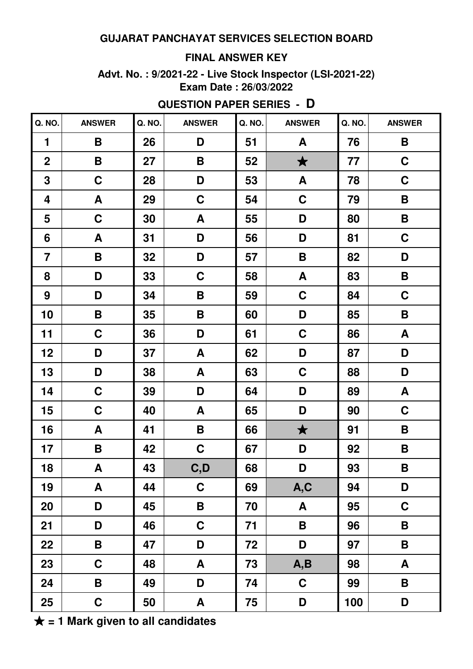### **FINAL ANSWER KEY**

**Advt. No. : 9/2021-22 - Live Stock Inspector (LSI-2021-22) Exam Date : 26/03/2022**

| <b>ANSWER</b>             | Q. NO. | <b>ANSWER</b>      | Q. NO. | <b>ANSWER</b> | Q. NO. | <b>ANSWER</b>      |
|---------------------------|--------|--------------------|--------|---------------|--------|--------------------|
| B                         | 26     | D                  | 51     | A             | 76     | B                  |
| B                         | 27     | $\pmb{\mathsf{B}}$ | 52     | $\bigstar$    | 77     | $\mathbf C$        |
| $\mathbf C$               | 28     | D                  | 53     | A             | 78     | $\mathbf C$        |
| A                         | 29     | $\mathbf C$        | 54     | C             | 79     | B                  |
| $\mathbf C$               | 30     | A                  | 55     | D             | 80     | B                  |
| A                         | 31     | D                  | 56     | D             | 81     | $\mathbf C$        |
| B                         | 32     | D                  | 57     | B             | 82     | D                  |
| D                         | 33     | $\mathbf C$        | 58     | A             | 83     | B                  |
| D                         | 34     | B                  | 59     | C             | 84     | $\mathbf C$        |
| B                         | 35     | B                  | 60     | D             | 85     | B                  |
| $\mathbf C$               | 36     | D                  | 61     | $\mathbf C$   | 86     | A                  |
| D                         | 37     | A                  | 62     | D             | 87     | D                  |
| D                         | 38     | A                  | 63     | C             | 88     | D                  |
| $\mathbf C$               | 39     | D                  | 64     | D             | 89     | A                  |
| $\mathbf C$               | 40     | A                  | 65     | D             | 90     | $\mathbf C$        |
| A                         | 41     | $\pmb{\mathsf{B}}$ | 66     | $\bigstar$    | 91     | B                  |
| B                         | 42     | $\mathbf C$        | 67     | D             | 92     | B                  |
| $\boldsymbol{\mathsf{A}}$ | 43     | C, D               | 68     | D             | 93     | $\pmb{\mathsf{B}}$ |
| A                         | 44     | $\mathbf C$        | 69     | A, C          | 94     | D                  |
| D                         | 45     | $\mathsf B$        | 70     | $\mathbf{A}$  | 95     | $\mathbf C$        |
| D                         | 46     | $\mathbf C$        | 71     | B             | 96     | B                  |
| B                         | 47     | D                  | 72     | D             | 97     | B                  |
| $\mathbf C$               | 48     | A                  | 73     | A, B          | 98     | A                  |
| B                         | 49     | D                  | 74     | $\mathbf C$   | 99     | B                  |
| $\mathbf C$               | 50     | A                  | 75     | D             | 100    | D                  |
|                           |        |                    |        |               |        |                    |

# **QUESTION PAPER SERIES - D**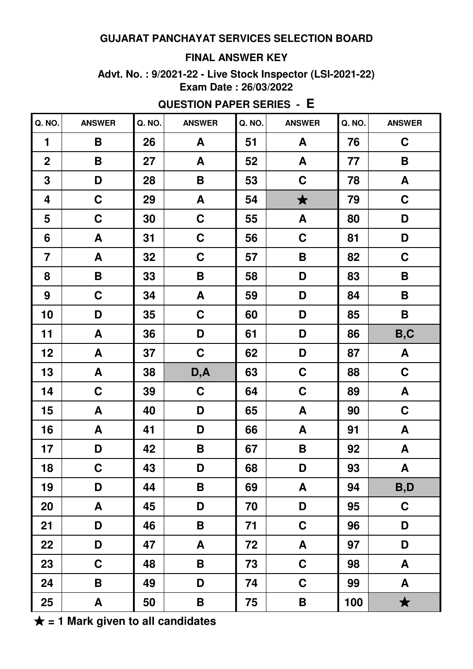### **FINAL ANSWER KEY**

**Advt. No. : 9/2021-22 - Live Stock Inspector (LSI-2021-22) Exam Date : 26/03/2022**

| Q. NO.         | <b>ANSWER</b> | Q. NO. | <b>ANSWER</b>      | Q. NO. | <b>ANSWER</b> | Q. NO. | <b>ANSWER</b>      |
|----------------|---------------|--------|--------------------|--------|---------------|--------|--------------------|
| $\mathbf{1}$   | B             | 26     | A                  | 51     | A             | 76     | $\mathbf C$        |
| $\overline{2}$ | B             | 27     | A                  | 52     | A             | 77     | B                  |
| 3              | D             | 28     | $\pmb{\mathsf{B}}$ | 53     | $\mathbf C$   | 78     | A                  |
| 4              | $\mathbf C$   | 29     | A                  | 54     | $\bigstar$    | 79     | $\mathbf C$        |
| 5              | $\mathbf C$   | 30     | $\mathbf C$        | 55     | A             | 80     | D                  |
| 6              | A             | 31     | $\mathbf C$        | 56     | $\mathbf C$   | 81     | D                  |
| $\overline{7}$ | A             | 32     | $\mathbf C$        | 57     | B             | 82     | $\mathbf C$        |
| 8              | B             | 33     | B                  | 58     | D             | 83     | B                  |
| 9              | $\mathbf C$   | 34     | A                  | 59     | D             | 84     | B                  |
| 10             | D             | 35     | $\mathbf C$        | 60     | D             | 85     | B                  |
| 11             | A             | 36     | D                  | 61     | D             | 86     | B,C                |
| 12             | A             | 37     | $\mathbf C$        | 62     | D             | 87     | $\boldsymbol{A}$   |
| 13             | A             | 38     | D, A               | 63     | C             | 88     | $\mathbf C$        |
| 14             | $\mathbf C$   | 39     | $\mathbf C$        | 64     | C             | 89     | ${\bf A}$          |
| 15             | A             | 40     | D                  | 65     | A             | 90     | $\mathbf C$        |
| 16             | A             | 41     | D                  | 66     | A             | 91     | ${\bf A}$          |
| 17             | D             | 42     | $\pmb{\mathsf{B}}$ | 67     | B             | 92     | ${\bf A}$          |
| 18             | $\mathbf C$   | 43     | D                  | 68     | D             | 93     | $\pmb{\mathsf{A}}$ |
| 19             | D             | 44     | $\pmb{\mathsf{B}}$ | 69     | A             | 94     | B,D                |
| 20             | A             | 45     | D                  | 70     | D             | 95     | $\mathbf C$        |
| 21             | D             | 46     | B                  | 71     | $\mathbf C$   | 96     | D                  |
| 22             | D             | 47     | $\pmb{\mathsf{A}}$ | 72     | A             | 97     | D                  |
| 23             | $\mathbf C$   | 48     | B                  | 73     | $\mathbf C$   | 98     | A                  |
| 24             | B             | 49     | D                  | 74     | $\mathbf C$   | 99     | A                  |
| 25             | A             | 50     | B                  | 75     | B             | 100    | $\bigstar$         |

**QUESTION PAPER SERIES - E**